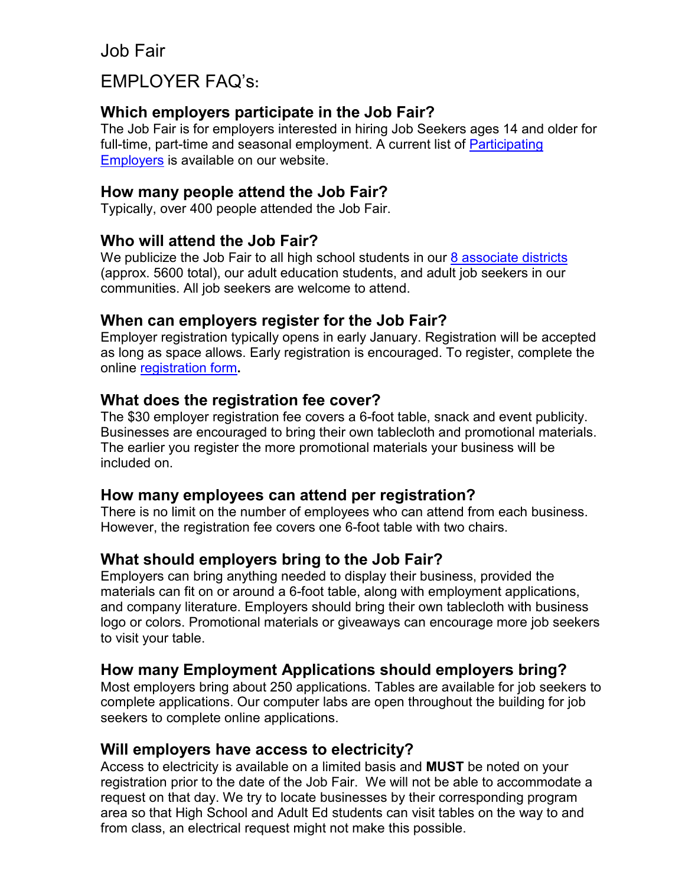Job Fair

# EMPLOYER FAQ's**:**

## **Which employers participate in the Job Fair?**

The Job Fair is for employers interested in hiring Job Seekers ages 14 and older for full-time, part-time and seasonal employment. A current list of [Participating](https://www.cvccworks.edu/Downloads/ParticipatingEmployersToDate.pdf)  [Employers](https://www.cvccworks.edu/Downloads/ParticipatingEmployersToDate.pdf) is available on our website.

#### **How many people attend the Job Fair?**

Typically, over 400 people attended the Job Fair.

#### **Who will attend the Job Fair?**

We publicize the Job Fair to all high school students in our  $8$  associate districts (approx. 5600 total), our adult education students, and adult job seekers in our communities. All job seekers are welcome to attend.

## **When can employers register for the Job Fair?**

Employer registration typically opens in early January. Registration will be accepted as long as space allows. Early registration is encouraged. To register, complete the online [registration form](https://docs.google.com/forms/d/e/1FAIpQLSeQk3sSMxpSVp6jnHjV0y4nGpa-ts7dk_auY1ZNowUDCMHFHw/viewform)**.**

## **What does the registration fee cover?**

The \$30 employer registration fee covers a 6-foot table, snack and event publicity. Businesses are encouraged to bring their own tablecloth and promotional materials. The earlier you register the more promotional materials your business will be included on.

#### **How many employees can attend per registration?**

There is no limit on the number of employees who can attend from each business. However, the registration fee covers one 6-foot table with two chairs.

#### **What should employers bring to the Job Fair?**

Employers can bring anything needed to display their business, provided the materials can fit on or around a 6-foot table, along with employment applications, and company literature. Employers should bring their own tablecloth with business logo or colors. Promotional materials or giveaways can encourage more job seekers to visit your table.

#### **How many Employment Applications should employers bring?**

Most employers bring about 250 applications. Tables are available for job seekers to complete applications. Our computer labs are open throughout the building for job seekers to complete online applications.

#### **Will employers have access to electricity?**

Access to electricity is available on a limited basis and **MUST** be noted on your registration prior to the date of the Job Fair. We will not be able to accommodate a request on that day. We try to locate businesses by their corresponding program area so that High School and Adult Ed students can visit tables on the way to and from class, an electrical request might not make this possible.